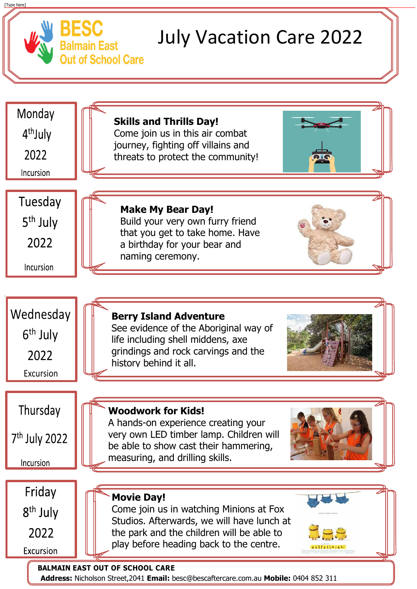



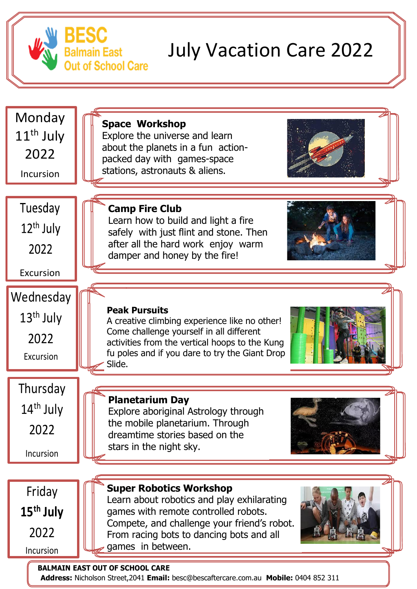### **BALMAIN EAST OUT OF SCHOOL CARE**

**Address:** Nicholson Street,2041 **Email:** besc@bescaftercare.com.au **Mobile:** 0404 852 311



# July Vacation Care 2022

# **Thursday** 14<sup>th</sup> July 2022



Excursion

Incursion



2022

Incursion



activities from the vertical hoops to the Kung fu poles and if you dare to try the Giant Drop Slide.





Explore aboriginal Astrology through the mobile planetarium. Through dreamtime stories based on the stars in the night sky.



## **Super Robotics Workshop**

Learn about robotics and play exhilarating games with remote controlled robots. Compete, and challenge your friend's robot. From racing bots to dancing bots and all games in between.

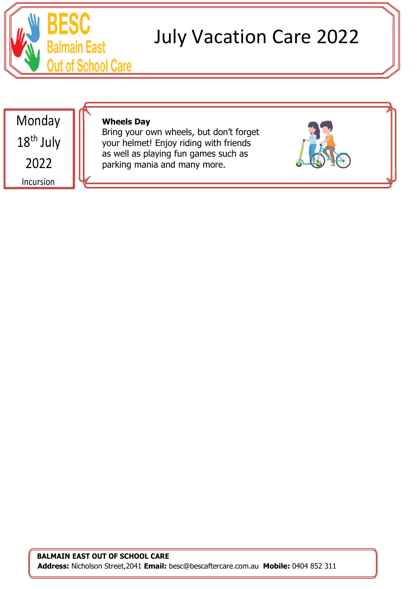

# July Vacation Care 2022

#### **BALMAIN EAST OUT OF SCHOOL CARE**

 **Address:** Nicholson Street,2041 **Email:** besc@bescaftercare.com.au **Mobile:** 0404 852 311

Monday 18<sup>th</sup> July 2022 Incursion

## **Wheels Day**

Bring your own wheels, but don't forget your helmet! Enjoy riding with friends as well as playing fun games such as parking mania and many more.